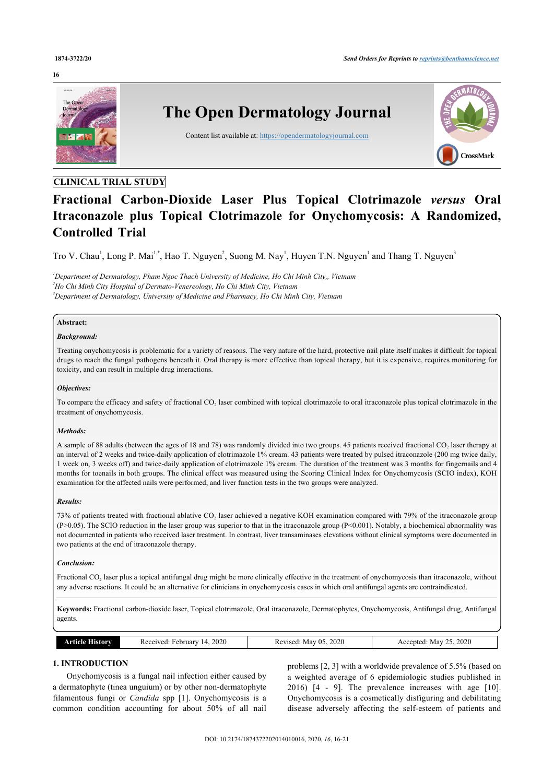#### **16**



# **CLINICAL TRIAL STUDY**

# **Fractional Carbon-Dioxide Laser Plus Topical Clotrimazole** *versus* **Oral Itraconazole plus Topical Clotrimazole for Onychomycosis: A Randomized, Controlled Trial**

Tro V. Chau<sup>[1](#page-0-0)</sup>, Long P. Mai<sup>[1,](#page-0-0)[\\*](#page-1-0)</sup>, Hao T. Nguyen<sup>[2](#page-0-1)</sup>, Suong M. Nay<sup>1</sup>, Huyen T.N. Nguyen<sup>1</sup> and Thang T. Nguyen<sup>[3](#page-0-2)</sup>

<span id="page-0-2"></span><span id="page-0-1"></span><span id="page-0-0"></span>*<sup>1</sup>Department of Dermatology, Pham Ngoc Thach University of Medicine, Ho Chi Minh City,, Vietnam <sup>2</sup>Ho Chi Minh City Hospital of Dermato-Venereology, Ho Chi Minh City, Vietnam <sup>3</sup>Department of Dermatology, University of Medicine and Pharmacy, Ho Chi Minh City, Vietnam*

# **Abstract:**

# *Background:*

Treating onychomycosis is problematic for a variety of reasons. The very nature of the hard, protective nail plate itself makes it difficult for topical drugs to reach the fungal pathogens beneath it. Oral therapy is more effective than topical therapy, but it is expensive, requires monitoring for toxicity, and can result in multiple drug interactions.

# *Objectives:*

To compare the efficacy and safety of fractional CO<sub>2</sub> laser combined with topical clotrimazole to oral itraconazole plus topical clotrimazole in the treatment of onychomycosis.

#### *Methods:*

A sample of 88 adults (between the ages of 18 and 78) was randomly divided into two groups. 45 patients received fractional CO<sub>2</sub> laser therapy at an interval of 2 weeks and twice-daily application of clotrimazole 1% cream. 43 patients were treated by pulsed itraconazole (200 mg twice daily, 1 week on, 3 weeks off) and twice-daily application of clotrimazole 1% cream. The duration of the treatment was 3 months for fingernails and 4 months for toenails in both groups. The clinical effect was measured using the Scoring Clinical Index for Onychomycosis (SCIO index), KOH examination for the affected nails were performed, and liver function tests in the two groups were analyzed.

#### *Results:*

73% of patients treated with fractional ablative  $CO<sub>2</sub>$  laser achieved a negative KOH examination compared with 79% of the itraconazole group  $(P>0.05)$ . The SCIO reduction in the laser group was superior to that in the itraconazole group  $(P<0.001)$ . Notably, a biochemical abnormality was not documented in patients who received laser treatment. In contrast, liver transaminases elevations without clinical symptoms were documented in two patients at the end of itraconazole therapy.

#### *Conclusion:*

Fractional CO<sub>2</sub> laser plus a topical antifungal drug might be more clinically effective in the treatment of onychomycosis than itraconazole, without any adverse reactions. It could be an alternative for clinicians in onychomycosis cases in which oral antifungal agents are contraindicated.

**Keywords:** Fractional carbon-dioxide laser, Topical clotrimazole, Oral itraconazole, Dermatophytes, Onychomycosis, Antifungal drug, Antifungal agents.

| 2020<br>.<br>∙ebruarv<br>Historv<br>R eceu<br>rtiria<br>$\sim$<br>14<br>''VCL. | 2020<br>- 05<br>Revised:<br>May<br>w<br>____ | 2020<br>$\sim$<br>,,<br>May<br>epted<br>ACC.<br>~~ |
|--------------------------------------------------------------------------------|----------------------------------------------|----------------------------------------------------|
|--------------------------------------------------------------------------------|----------------------------------------------|----------------------------------------------------|

# **1. INTRODUCTION**

Onychomycosis is a fungal nail infection either caused by a dermatophyte (tinea unguium) or by other non-dermatophyte filamentous fungi or *Candida* spp[[1](#page-4-0)]. Onychomycosis is a common condition accounting for about 50% of all nail problems [[2](#page-4-1), [3](#page-4-2)] with a worldwide prevalence of 5.5% (based on a weighted average of 6 epidemiologic studies published in 2016) [\[4](#page-4-3) - [9](#page-4-4)]. The prevalence increases with age[[10](#page-4-5)]. Onychomycosis is a cosmetically disfiguring and debilitating disease adversely affecting the self-esteem of patients and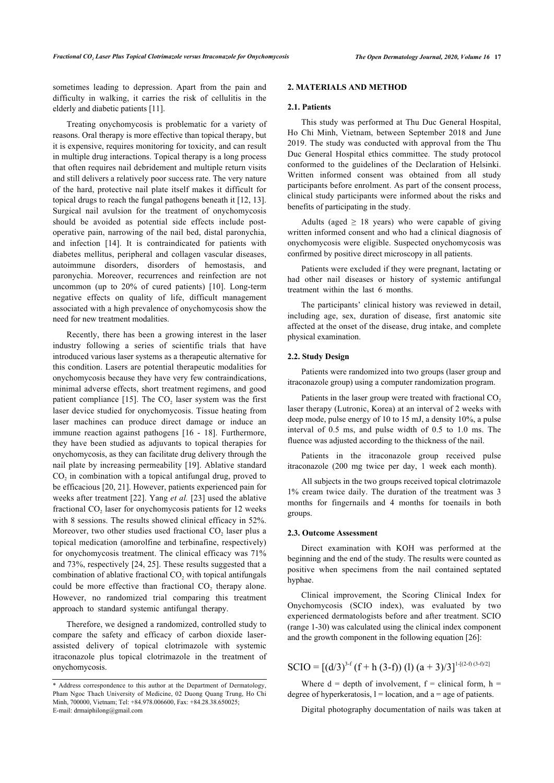sometimes leading to depression. Apart from the pain and difficulty in walking, it carries the risk of cellulitis in the elderly and diabetic patients [\[11](#page-4-6)].

Treating onychomycosis is problematic for a variety of reasons. Oral therapy is more effective than topical therapy, but it is expensive, requires monitoring for toxicity, and can result in multiple drug interactions. Topical therapy is a long process that often requires nail debridement and multiple return visits and still delivers a relatively poor success rate. The very nature of the hard, protective nail plate itself makes it difficult for topical drugs to reach the fungal pathogens beneath it [\[12](#page-4-7), [13](#page-4-8)]. Surgical nail avulsion for the treatment of onychomycosis should be avoided as potential side effects include postoperative pain, narrowing of the nail bed, distal paronychia, and infection [\[14](#page-4-9)]. It is contraindicated for patients with diabetes mellitus, peripheral and collagen vascular diseases, autoimmune disorders, disorders of hemostasis, and paronychia. Moreover, recurrences and reinfection are not uncommon (up to 20% of cured patients)[[10](#page-4-5)]. Long-term negative effects on quality of life, difficult management associated with a high prevalence of onychomycosis show the need for new treatment modalities.

Recently, there has been a growing interest in the laser industry following a series of scientific trials that have introduced various laser systems as a therapeutic alternative for this condition. Lasers are potential therapeutic modalities for onychomycosis because they have very few contraindications, minimal adverse effects, short treatment regimens, and good patient compliance [\[15\]](#page-4-10). The  $CO<sub>2</sub>$  laser system was the first laser device studied for onychomycosis. Tissue heating from laser machines can produce direct damage or induce an immune reaction against pathogens [\[16](#page-4-11) - [18\]](#page-4-12). Furthermore, they have been studied as adjuvants to topical therapies for onychomycosis, as they can facilitate drug delivery through the nail plate by increasing permeability [[19](#page-4-13)]. Ablative standard  $CO<sub>2</sub>$  in combination with a topical antifungal drug, proved to be efficacious [20, [21\]](#page-4-14). However, patients experienced pain for weeks after treatment [[22](#page-4-15)]. Yang *et al.* [\[23](#page-4-16)] used the ablative fractional  $CO<sub>2</sub>$  laser for onychomycosis patients for 12 weeks with 8 sessions. The results showed clinical efficacy in 52%. Moreover, two other studies used fractional  $CO<sub>2</sub>$  laser plus a topical medication (amorolfine and terbinafine, respectively) for onychomycosis treatment. The clinical efficacy was 71% and 73%, respectively [\[24,](#page-4-17) [25\]](#page-4-18). These results suggested that a combination of ablative fractional  $CO<sub>2</sub>$  with topical antifungals could be more effective than fractional  $CO<sub>2</sub>$  therapy alone. However, no randomized trial comparing this treatment approach to standard systemic antifungal therapy.

Therefore, we designed a randomized, controlled study to compare the safety and efficacy of carbon dioxide laserassisted delivery of topical clotrimazole with systemic itraconazole plus topical clotrimazole in the treatment of onychomycosis.

# **2. MATERIALS AND METHOD**

#### **2.1. Patients**

This study was performed at Thu Duc General Hospital, Ho Chi Minh, Vietnam, between September 2018 and June 2019. The study was conducted with approval from the Thu Duc General Hospital ethics committee. The study protocol conformed to the guidelines of the Declaration of Helsinki. Written informed consent was obtained from all study participants before enrolment. As part of the consent process, clinical study participants were informed about the risks and benefits of participating in the study.

Adults (aged  $\geq$  18 years) who were capable of giving written informed consent and who had a clinical diagnosis of onychomycosis were eligible. Suspected onychomycosis was confirmed by positive direct microscopy in all patients.

Patients were excluded if they were pregnant, lactating or had other nail diseases or history of systemic antifungal treatment within the last 6 months.

The participants' clinical history was reviewed in detail, including age, sex, duration of disease, first anatomic site affected at the onset of the disease, drug intake, and complete physical examination.

#### **2.2. Study Design**

Patients were randomized into two groups (laser group and itraconazole group) using a computer randomization program.

Patients in the laser group were treated with fractional  $CO<sub>2</sub>$ laser therapy (Lutronic, Korea) at an interval of 2 weeks with deep mode, pulse energy of 10 to 15 mJ, a density 10%, a pulse interval of 0.5 ms, and pulse width of 0.5 to 1.0 ms. The fluence was adjusted according to the thickness of the nail.

Patients in the itraconazole group received pulse itraconazole (200 mg twice per day, 1 week each month).

All subjects in the two groups received topical clotrimazole 1% cream twice daily. The duration of the treatment was 3 months for fingernails and 4 months for toenails in both groups.

## **2.3. Outcome Assessment**

Direct examination with KOH was performed at the beginning and the end of the study. The results were counted as positive when specimens from the nail contained septated hyphae.

Clinical improvement, the Scoring Clinical Index for Onychomycosis (SCIO index), was evaluated by two experienced dermatologists before and after treatment. SCIO (range 1-30) was calculated using the clinical index component and the growth component in the following equation [\[26](#page-4-19)]:

 $SCIO = [(d/3)^{3-f} (f+h (3-f)) (l) (a+3)/3]^{1-((2-f)(3-f)/2]}$ 

Where  $d =$  depth of involvement,  $f =$  clinical form,  $h =$ degree of hyperkeratosis,  $l =$  location, and  $a =$  age of patients.

Digital photography documentation of nails was taken at

<span id="page-1-0"></span><sup>\*</sup> Address correspondence to this author at the Department of Dermatology, Pham Ngoc Thach University of Medicine, 02 Duong Quang Trung, Ho Chi Minh, 700000, Vietnam; Tel: +84.978.006600, Fax: +84.28.38.650025; E-mail: [drmaiphilong@gmail.com](mailto:drmaiphilong@gmail.com)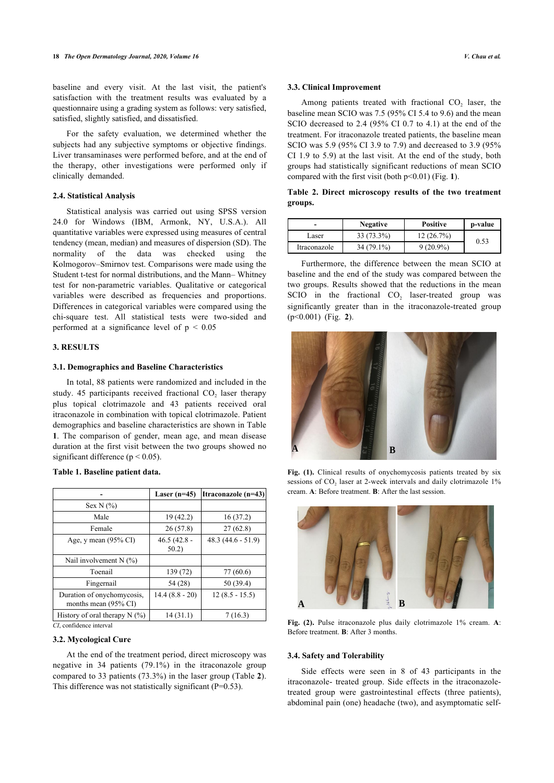baseline and every visit. At the last visit, the patient's satisfaction with the treatment results was evaluated by a questionnaire using a grading system as follows: very satisfied, satisfied, slightly satisfied, and dissatisfied.

For the safety evaluation, we determined whether the subjects had any subjective symptoms or objective findings. Liver transaminases were performed before, and at the end of the therapy, other investigations were performed only if clinically demanded.

# <span id="page-2-1"></span>**2.4. Statistical Analysis**

Statistical analysis was carried out using SPSS version 24.0 for Windows (IBM, Armonk, NY, U.S.A.). All quantitative variables were expressed using measures of central tendency (mean, median) and measures of dispersion (SD). The normality of the data was checked using the Kolmogorov–Smirnov test. Comparisons were made using the Student t-test for normal distributions, and the Mann– Whitney test for non-parametric variables. Qualitative or categorical variables were described as frequencies and proportions. Differences in categorical variables were compared using the chi-square test. All statistical tests were two-sided and performed at a significance level of  $p < 0.05$ 

# <span id="page-2-2"></span>**3. RESULTS**

#### **3.1. Demographics and Baseline Characteristics**

In total, 88 patients were randomized and included in the study. 45 participants received fractional  $CO<sub>2</sub>$  laser therapy plus topical clotrimazole and 43 patients received oral itraconazole in combination with topical clotrimazole. Patient demographics and baseline characteristics are shown in Table **[1](#page-2-0)**. The comparison of gender, mean age, and mean disease duration at the first visit between the two groups showed no significant difference ( $p < 0.05$ ).

<span id="page-2-3"></span>

|                                                    | Laser $(n=45)$         | Itraconazole (n=43) |
|----------------------------------------------------|------------------------|---------------------|
| Sex N $(\% )$                                      |                        |                     |
| Male                                               | 19(42.2)               | 16(37.2)            |
| Female                                             | 26(57.8)               | 27(62.8)            |
| Age, y mean $(95\% \text{ CI})$                    | $46.5(42.8 -$<br>50.2) | $48.3(44.6 - 51.9)$ |
| Nail involvement $N$ (%)                           |                        |                     |
| Toenail                                            | 139 (72)               | 77 (60.6)           |
| Fingernail                                         | 54 (28)                | 50 (39.4)           |
| Duration of onychomycosis,<br>months mean (95% CI) | $14.4(8.8-20)$         | $12(8.5 - 15.5)$    |
| History of oral therapy $N$ (%)                    | 14(31.1)               | 7(16.3)             |

# <span id="page-2-0"></span>**Table 1. Baseline patient data.**

*CI*, confidence interval

# **3.2. Mycological Cure**

At the end of the treatment period, direct microscopy was negative in 34 patients (79.1%) in the itraconazole group compared to 33 patients (73.3%) in the laser group (Table **[2](#page-2-1)**). This difference was not statistically significant (P=0.53).

#### **3.3. Clinical Improvement**

Among patients treated with fractional  $CO<sub>2</sub>$  laser, the baseline mean SCIO was 7.5 (95% CI 5.4 to 9.6) and the mean SCIO decreased to 2.4 (95% CI 0.7 to 4.1) at the end of the treatment. For itraconazole treated patients, the baseline mean SCIO was 5.9 (95% CI 3.9 to 7.9) and decreased to 3.9 (95% CI 1.9 to 5.9) at the last visit. At the end of the study, both groups had statistically significant reductions of mean SCIO compared with the first visit (both p<0.01) (Fig. **[1](#page-2-2)**).

**Table 2. Direct microscopy results of the two treatment groups.**

|              | <b>Negative</b> | <b>Positive</b> | p-value |
|--------------|-----------------|-----------------|---------|
| Laser        | $33(73.3\%)$    | 12(26.7%)       | 0.53    |
| Itraconazole | 34 (79.1%)      | $9(20.9\%)$     |         |

Furthermore, the difference between the mean SCIO at baseline and the end of the study was compared between the two groups. Results showed that the reductions in the mean SCIO in the fractional  $CO<sub>2</sub>$  laser-treated group was significantly greater than in the itraconazole-treated group (p<0.001) (Fig.**2**).



Fig. (1). Clinical results of onychomycosis patients treated by six sessions of  $CO<sub>2</sub>$  laser at 2-week intervals and daily clotrimazole 1% cream. **A**: Before treatment. **B**: After the last session.



**Fig. (2).** Pulse itraconazole plus daily clotrimazole 1% cream. **A**: Before treatment. **B**: After 3 months.

# **3.4. Safety and Tolerability**

Side effects were seen in 8 of 43 participants in the itraconazole- treated group. Side effects in the itraconazoletreated group were gastrointestinal effects (three patients), abdominal pain (one) headache (two), and asymptomatic self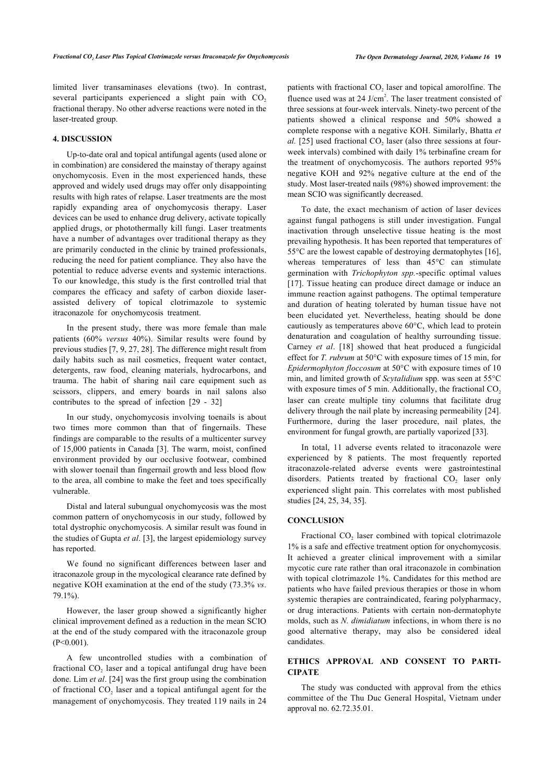limited liver transaminases elevations (two). In contrast, several participants experienced a slight pain with  $CO<sub>2</sub>$ fractional therapy. No other adverse reactions were noted in the laser-treated group.

# **4. DISCUSSION**

Up-to-date oral and topical antifungal agents (used alone or in combination) are considered the mainstay of therapy against onychomycosis. Even in the most experienced hands, these approved and widely used drugs may offer only disappointing results with high rates of relapse. Laser treatments are the most rapidly expanding area of onychomycosis therapy. Laser devices can be used to enhance drug delivery, activate topically applied drugs, or photothermally kill fungi. Laser treatments have a number of advantages over traditional therapy as they are primarily conducted in the clinic by trained professionals, reducing the need for patient compliance. They also have the potential to reduce adverse events and systemic interactions. To our knowledge, this study is the first controlled trial that compares the efficacy and safety of carbon dioxide laserassisted delivery of topical clotrimazole to systemic itraconazole for onychomycosis treatment.

In the present study, there was more female than male patients (60% *versus* 40%). Similar results were found by previous studies [\[7,](#page-4-20) [9,](#page-4-4) [27](#page-4-21), [28\]](#page-4-22). The difference might result from daily habits such as nail cosmetics, frequent water contact, detergents, raw food, cleaning materials, hydrocarbons, and trauma. The habit of sharing nail care equipment such as scissors, clippers, and emery boards in nail salons also contributes to the spread of infection [\[29](#page-4-6) - [32\]](#page-5-0)

In our study, onychomycosis involving toenails is about two times more common than that of fingernails. These findings are comparable to the results of a multicenter survey of 15,000 patients in Canada [[3](#page-4-2)]. The warm, moist, confined environment provided by our occlusive footwear, combined with slower toenail than fingernail growth and less blood flow to the area, all combine to make the feet and toes specifically vulnerable.

Distal and lateral subungual onychomycosis was the most common pattern of onychomycosis in our study, followed by total dystrophic onychomycosis. A similar result was found in the studies of Gupta *et al*. [[3](#page-4-2)], the largest epidemiology survey has reported.

We found no significant differences between laser and itraconazole group in the mycological clearance rate defined by negative KOH examination at the end of the study (73.3% *vs*. 79.1%).

However, the laser group showed a significantly higher clinical improvement defined as a reduction in the mean SCIO at the end of the study compared with the itraconazole group  $(P<0.001)$ .

A few uncontrolled studies with a combination of fractional  $CO<sub>2</sub>$  laser and a topical antifungal drug have been done. Lim *et al*. [\[24](#page-4-17)] was the first group using the combination of fractional  $CO<sub>2</sub>$  laser and a topical antifungal agent for the management of onychomycosis. They treated 119 nails in 24

patients with fractional  $CO<sub>2</sub>$  laser and topical amorolfine. The fluence used was at  $24$  J/cm<sup>2</sup>. The laser treatment consisted of three sessions at four-week intervals. Ninety-two percent of the patients showed a clinical response and 50% showed a complete response with a negative KOH. Similarly, Bhatta *et*  $al.$  [\[25\]](#page-4-18) used fractional  $CO<sub>2</sub>$  laser (also three sessions at fourweek intervals) combined with daily 1% terbinafine cream for the treatment of onychomycosis. The authors reported 95% negative KOH and 92% negative culture at the end of the study. Most laser-treated nails (98%) showed improvement: the mean SCIO was significantly decreased.

To date, the exact mechanism of action of laser devices against fungal pathogens is still under investigation. Fungal inactivation through unselective tissue heating is the most prevailing hypothesis. It has been reported that temperatures of 55°C are the lowest capable of destroying dermatophytes [\[16](#page-4-11)], whereas temperatures of less than 45°C can stimulate germination with *Trichophyton spp.*-specific optimal values [[17](#page-4-23)]. Tissue heating can produce direct damage or induce an immune reaction against pathogens. The optimal temperature and duration of heating tolerated by human tissue have not been elucidated yet. Nevertheless, heating should be done cautiously as temperatures above 60°C, which lead to protein denaturation and coagulation of healthy surrounding tissue. Carney *et al*.[[18\]](#page-4-12) showed that heat produced a fungicidal effect for *T. rubrum* at 50°C with exposure times of 15 min, for *Epidermophyton floccosum* at 50°C with exposure times of 10 min, and limited growth of *Scytalidium* spp. was seen at 55°C with exposure times of 5 min. Additionally, the fractional  $CO<sub>2</sub>$ laser can create multiple tiny columns that facilitate drug delivery through the nail plate by increasing permeability [\[24](#page-4-17)]. Furthermore, during the laser procedure, nail plates, the environment for fungal growth, are partially vaporized [[33\]](#page-5-1).

In total, 11 adverse events related to itraconazole were experienced by 8 patients. The most frequently reported itraconazole-related adverse events were gastrointestinal disorders. Patients treated by fractional  $CO<sub>2</sub>$  laser only experienced slight pain. This correlates with most published studies [\[24](#page-4-17), [25,](#page-4-18) [34](#page-5-2), [35\]](#page-5-3).

# **CONCLUSION**

Fractional  $CO<sub>2</sub>$  laser combined with topical clotrimazole 1% is a safe and effective treatment option for onychomycosis. It achieved a greater clinical improvement with a similar mycotic cure rate rather than oral itraconazole in combination with topical clotrimazole 1%. Candidates for this method are patients who have failed previous therapies or those in whom systemic therapies are contraindicated, fearing polypharmacy, or drug interactions. Patients with certain non-dermatophyte molds, such as *N. dimidiatum* infections, in whom there is no good alternative therapy, may also be considered ideal candidates.

# **ETHICS APPROVAL AND CONSENT TO PARTI-CIPATE**

The study was conducted with approval from the ethics committee of the Thu Duc General Hospital, Vietnam under approval no. 62.72.35.01.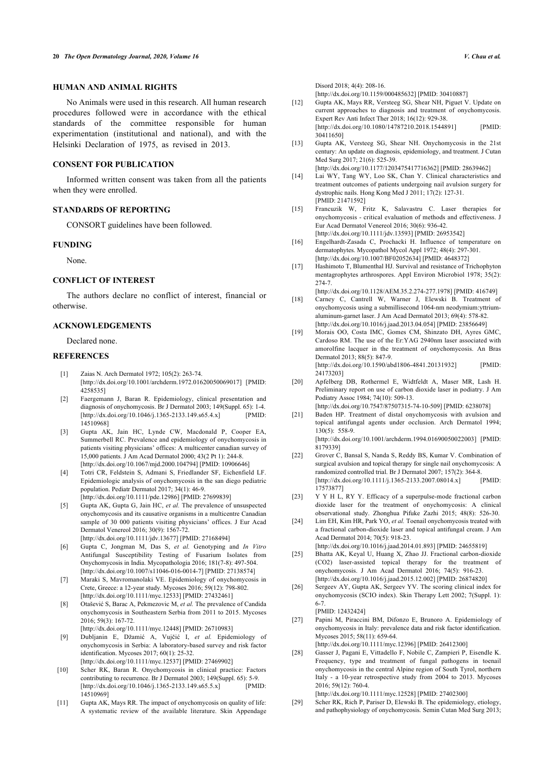# **HUMAN AND ANIMAL RIGHTS**

<span id="page-4-7"></span>No Animals were used in this research. All human research procedures followed were in accordance with the ethical standards of the committee responsible for human experimentation (institutional and national), and with the Helsinki Declaration of 1975, as revised in 2013.

# <span id="page-4-8"></span>**CONSENT FOR PUBLICATION**

<span id="page-4-9"></span>Informed written consent was taken from all the patients when they were enrolled.

# <span id="page-4-10"></span>**STANDARDS OF REPORTING**

CONSORT guidelines have been followed.

#### <span id="page-4-11"></span>**FUNDING**

None.

# <span id="page-4-23"></span>**CONFLICT OF INTEREST**

<span id="page-4-12"></span>The authors declare no conflict of interest, financial or otherwise.

# <span id="page-4-13"></span>**ACKNOWLEDGEMENTS**

#### Declared none.

#### <span id="page-4-0"></span>**REFERENCES**

- [1] Zaias N. Arch Dermatol 1972; 105(2): 263-74. [\[http://dx.doi.org/10.1001/archderm.1972.01620050069017\]](http://dx.doi.org/10.1001/archderm.1972.01620050069017) [PMID: [4258535](http://www.ncbi.nlm.nih.gov/pubmed/4258535)]
- <span id="page-4-1"></span>[2] Faergemann J, Baran R. Epidemiology, clinical presentation and diagnosis of onychomycosis. Br J Dermatol 2003; 149(Suppl. 65): 1-4. [\[http://dx.doi.org/10.1046/j.1365-2133.149.s65.4.x](http://dx.doi.org/10.1046/j.1365-2133.149.s65.4.x)] [PMID: 145109681
- <span id="page-4-14"></span><span id="page-4-2"></span>[3] Gupta AK, Jain HC, Lynde CW, Macdonald P, Cooper EA, Summerbell RC. Prevalence and epidemiology of onychomycosis in patients visiting physicians' offices: A multicenter canadian survey of 15,000 patients. J Am Acad Dermatol 2000; 43(2 Pt 1): 244-8. [\[http://dx.doi.org/10.1067/mjd.2000.104794\]](http://dx.doi.org/10.1067/mjd.2000.104794) [PMID: [10906646](http://www.ncbi.nlm.nih.gov/pubmed/10906646)]
- <span id="page-4-15"></span><span id="page-4-3"></span>[4] Totri CR, Feldstein S, Admani S, Friedlander SF, Eichenfield LF. Epidemiologic analysis of onychomycosis in the san diego pediatric population. Pediatr Dermatol 2017; 34(1): 46-9. [\[http://dx.doi.org/10.1111/pde.12986\]](http://dx.doi.org/10.1111/pde.12986) [PMID: [27699839](http://www.ncbi.nlm.nih.gov/pubmed/27699839)]
- <span id="page-4-17"></span><span id="page-4-16"></span>[5] Gupta AK, Gupta G, Jain HC, *et al.* The prevalence of unsuspected onychomycosis and its causative organisms in a multicentre Canadian sample of 30 000 patients visiting physicians' offices. J Eur Acad Dermatol Venereol 2016; 30(9): 1567-72. [\[http://dx.doi.org/10.1111/jdv.13677](http://dx.doi.org/10.1111/jdv.13677)] [PMID: [27168494\]](http://www.ncbi.nlm.nih.gov/pubmed/27168494)
- <span id="page-4-18"></span>[6] Gupta C, Jongman M, Das S, *et al.* Genotyping and *In Vitro* Antifungal Susceptibility Testing of Fusarium Isolates from Onychomycosis in India. Mycopathologia 2016; 181(7-8): 497-504. [\[http://dx.doi.org/10.1007/s11046-016-0014-7](http://dx.doi.org/10.1007/s11046-016-0014-7)] [PMID: [27138574\]](http://www.ncbi.nlm.nih.gov/pubmed/27138574)
- <span id="page-4-20"></span><span id="page-4-19"></span>[7] Maraki S, Mavromanolaki VE. Epidemiology of onychomycosis in Crete, Greece: a 12-year study. Mycoses 2016; 59(12): 798-802. [\[http://dx.doi.org/10.1111/myc.12533](http://dx.doi.org/10.1111/myc.12533)] [PMID: [27432461](http://www.ncbi.nlm.nih.gov/pubmed/27432461)]
- <span id="page-4-21"></span>[8] Otašević S, Barac A, Pekmezovic M, *et al.* The prevalence of Candida onychomycosis in Southeastern Serbia from 2011 to 2015. Mycoses 2016; 59(3): 167-72. [\[http://dx.doi.org/10.1111/myc.12448](http://dx.doi.org/10.1111/myc.12448)] [PMID: [26710983](http://www.ncbi.nlm.nih.gov/pubmed/26710983)]
- <span id="page-4-4"></span>[9] Dubljanin E, Džamić A, Vujčić I, *et al.* Epidemiology of onychomycosis in Serbia: A laboratory-based survey and risk factor identification. Mycoses 2017: 60(1): 25-32. [\[http://dx.doi.org/10.1111/myc.12537](http://dx.doi.org/10.1111/myc.12537)] [PMID: [27469902](http://www.ncbi.nlm.nih.gov/pubmed/27469902)]
- <span id="page-4-22"></span><span id="page-4-5"></span>[10] Scher RK, Baran R. Onychomycosis in clinical practice: Factors contributing to recurrence. Br J Dermatol 2003; 149(Suppl. 65): 5-9.<br>
[http://dx.doi.org/10.1046/i.1365-2133.149.s65.5.x] [PMID:  $[http://dx.doi.org/10.1046/j.1365-2133.149.s65.5.x]$  $[http://dx.doi.org/10.1046/j.1365-2133.149.s65.5.x]$ [14510969\]](http://www.ncbi.nlm.nih.gov/pubmed/14510969)
- <span id="page-4-6"></span>[11] Gupta AK, Mays RR. The impact of onychomycosis on quality of life: A systematic review of the available literature. Skin Appendage

Disord 2018; 4(4): 208-16.

[\[http://dx.doi.org/10.1159/000485632\]](http://dx.doi.org/10.1159/000485632) [PMID: [30410887\]](http://www.ncbi.nlm.nih.gov/pubmed/30410887)

- [12] Gupta AK, Mays RR, Versteeg SG, Shear NH, Piguet V. Update on current approaches to diagnosis and treatment of onychomycosis. Expert Rev Anti Infect Ther 2018; 16(12): 929-38. [\[http://dx.doi.org/10.1080/14787210.2018.1544891](http://dx.doi.org/10.1080/14787210.2018.1544891)] [PMID: [30411650\]](http://www.ncbi.nlm.nih.gov/pubmed/30411650)
- [13] Gupta AK, Versteeg SG, Shear NH. Onychomycosis in the 21st century: An update on diagnosis, epidemiology, and treatment. J Cutan Med Surg 2017; 21(6): 525-39. [\[http://dx.doi.org/10.1177/1203475417716362](http://dx.doi.org/10.1177/1203475417716362)] [PMID: [28639462](http://www.ncbi.nlm.nih.gov/pubmed/28639462)]
- [14] Lai WY, Tang WY, Loo SK, Chan Y. Clinical characteristics and treatment outcomes of patients undergoing nail avulsion surgery for dystrophic nails. Hong Kong Med J 2011; 17(2): 127-31. [PMID: [21471592\]](http://www.ncbi.nlm.nih.gov/pubmed/21471592)
- [15] Francuzik W, Fritz K, Salavastru C. Laser therapies for onychomycosis - critical evaluation of methods and effectiveness. J Eur Acad Dermatol Venereol 2016; 30(6): 936-42. [\[http://dx.doi.org/10.1111/jdv.13593\]](http://dx.doi.org/10.1111/jdv.13593) [PMID: [26953542](http://www.ncbi.nlm.nih.gov/pubmed/26953542)]
- [16] Engelhardt-Zasada C, Prochacki H. Influence of temperature on dermatophytes. Mycopathol Mycol Appl 1972; 48(4): 297-301. [\[http://dx.doi.org/10.1007/BF02052634](http://dx.doi.org/10.1007/BF02052634)] [PMID: [4648372](http://www.ncbi.nlm.nih.gov/pubmed/4648372)]
- [17] Hashimoto T, Blumenthal HJ. Survival and resistance of Trichophyton mentagrophytes arthrospores. Appl Environ Microbiol 1978: 35(2): 274-7.

[\[http://dx.doi.org/10.1128/AEM.35.2.274-277.1978\]](http://dx.doi.org/10.1128/AEM.35.2.274-277.1978) [PMID: [416749](http://www.ncbi.nlm.nih.gov/pubmed/416749)]

- [18] Carney C, Cantrell W, Warner J, Elewski B. Treatment of onychomycosis using a submillisecond 1064-nm neodymium:yttriumaluminum-garnet laser. J Am Acad Dermatol 2013; 69(4): 578-82. [\[http://dx.doi.org/10.1016/j.jaad.2013.04.054\]](http://dx.doi.org/10.1016/j.jaad.2013.04.054) [PMID: [23856649](http://www.ncbi.nlm.nih.gov/pubmed/23856649)]
- [19] Morais OO, Costa IMC, Gomes CM, Shinzato DH, Ayres GMC, Cardoso RM. The use of the Er:YAG 2940nm laser associated with amorolfine lacquer in the treatment of onychomycosis. An Bras Dermatol 2013; 88(5): 847-9.  $[http://dx.doi.org/10.1590/abd1806-4841.20131932]$  $[http://dx.doi.org/10.1590/abd1806-4841.20131932]$ [24173203\]](http://www.ncbi.nlm.nih.gov/pubmed/24173203)
- [20] Apfelberg DB, Rothermel E, Widtfeldt A, Maser MR, Lash H. Preliminary report on use of carbon dioxide laser in podiatry. J Am Podiatry Assoc 1984; 74(10): 509-13.
- [\[http://dx.doi.org/10.7547/87507315-74-10-509\]](http://dx.doi.org/10.7547/87507315-74-10-509) [PMID: [6238078](http://www.ncbi.nlm.nih.gov/pubmed/6238078)] [21] Baden HP. Treatment of distal onychomycosis with avulsion and topical antifungal agents under occlusion. Arch Dermatol 1994;  $130(5)$ : 558-9. [\[http://dx.doi.org/10.1001/archderm.1994.01690050022003\]](http://dx.doi.org/10.1001/archderm.1994.01690050022003) [PMID:

[8179339](http://www.ncbi.nlm.nih.gov/pubmed/8179339)]

- [22] Grover C, Bansal S, Nanda S, Reddy BS, Kumar V. Combination of surgical avulsion and topical therapy for single nail onychomycosis: A randomized controlled trial. Br J Dermatol 2007; 157(2): 364-8. [\[http://dx.doi.org/10.1111/j.1365-2133.2007.08014.x\]](http://dx.doi.org/10.1111/j.1365-2133.2007.08014.x) [PMID: [17573877\]](http://www.ncbi.nlm.nih.gov/pubmed/17573877)
- [23] Y Y H L, RY Y. Efficacy of a superpulse-mode fractional carbon dioxide laser for the treatment of onychomycosis: A clinical observational study. Zhonghua Pifuke Zazhi 2015; 48(8): 526-30.
- [24] Lim EH, Kim HR, Park YO, *et al.* Toenail onychomycosis treated with a fractional carbon-dioxide laser and topical antifungal cream. J Am Acad Dermatol 2014; 70(5): 918-23. [\[http://dx.doi.org/10.1016/j.jaad.2014.01.893\]](http://dx.doi.org/10.1016/j.jaad.2014.01.893) [PMID: [24655819](http://www.ncbi.nlm.nih.gov/pubmed/24655819)]
- [25] Bhatta AK, Keyal U, Huang X, Zhao JJ. Fractional carbon-dioxide (CO2) laser-assisted topical therapy for the treatment of onychomycosis. J Am Acad Dermatol 2016; 74(5): 916-23.
- [\[http://dx.doi.org/10.1016/j.jaad.2015.12.002\]](http://dx.doi.org/10.1016/j.jaad.2015.12.002) [PMID: [26874820](http://www.ncbi.nlm.nih.gov/pubmed/26874820)] [26] Sergeev AY, Gupta AK, Sergeev YV. The scoring clinical index for onychomycosis (SCIO index). Skin Therapy Lett 2002; 7(Suppl. 1): 6-7. [PMID: [12432424\]](http://www.ncbi.nlm.nih.gov/pubmed/12432424)
- [27] Papini M, Piraccini BM, Difonzo E, Brunoro A. Epidemiology of onychomycosis in Italy: prevalence data and risk factor identification. Mycoses 2015; 58(11): 659-64.

[\[http://dx.doi.org/10.1111/myc.12396\]](http://dx.doi.org/10.1111/myc.12396) [PMID: [26412300](http://www.ncbi.nlm.nih.gov/pubmed/26412300)]

[28] Gasser J, Pagani E, Vittadello F, Nobile C, Zampieri P, Eisendle K. Frequency, type and treatment of fungal pathogens in toenail onychomycosis in the central Alpine region of South Tyrol, northern Italy - a 10-year retrospective study from 2004 to 2013. Mycoses 2016; 59(12): 760-4.

[\[http://dx.doi.org/10.1111/myc.12528\]](http://dx.doi.org/10.1111/myc.12528) [PMID: [27402300](http://www.ncbi.nlm.nih.gov/pubmed/27402300)]

[29] Scher RK, Rich P, Pariser D, Elewski B. The epidemiology, etiology, and pathophysiology of onychomycosis. Semin Cutan Med Surg 2013;